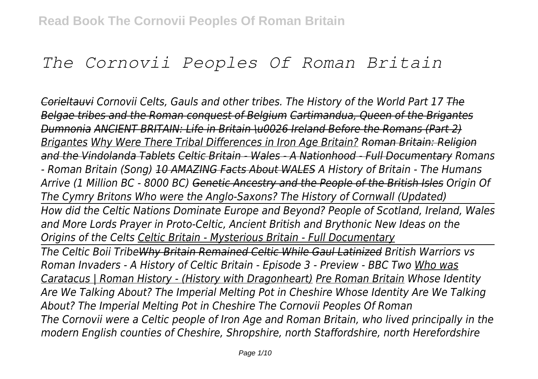# *The Cornovii Peoples Of Roman Britain*

*Corieltauvi Cornovii Celts, Gauls and other tribes. The History of the World Part 17 The Belgae tribes and the Roman conquest of Belgium Cartimandua, Queen of the Brigantes Dumnonia ANCIENT BRITAIN: Life in Britain \u0026 Ireland Before the Romans (Part 2) Brigantes Why Were There Tribal Differences in Iron Age Britain? Roman Britain: Religion and the Vindolanda Tablets Celtic Britain - Wales - A Nationhood - Full Documentary Romans - Roman Britain (Song) 10 AMAZING Facts About WALES A History of Britain - The Humans Arrive (1 Million BC - 8000 BC) Genetic Ancestry and the People of the British Isles Origin Of The Cymry Britons Who were the Anglo-Saxons? The History of Cornwall (Updated) How did the Celtic Nations Dominate Europe and Beyond? People of Scotland, Ireland, Wales and More Lords Prayer in Proto-Celtic, Ancient British and Brythonic New Ideas on the Origins of the Celts Celtic Britain - Mysterious Britain - Full Documentary The Celtic Boii TribeWhy Britain Remained Celtic While Gaul Latinized British Warriors vs Roman Invaders - A History of Celtic Britain - Episode 3 - Preview - BBC Two Who was Caratacus | Roman History - (History with Dragonheart) Pre Roman Britain Whose Identity Are We Talking About? The Imperial Melting Pot in Cheshire Whose Identity Are We Talking About? The Imperial Melting Pot in Cheshire The Cornovii Peoples Of Roman The Cornovii were a Celtic people of Iron Age and Roman Britain, who lived principally in the modern English counties of Cheshire, Shropshire, north Staffordshire, north Herefordshire*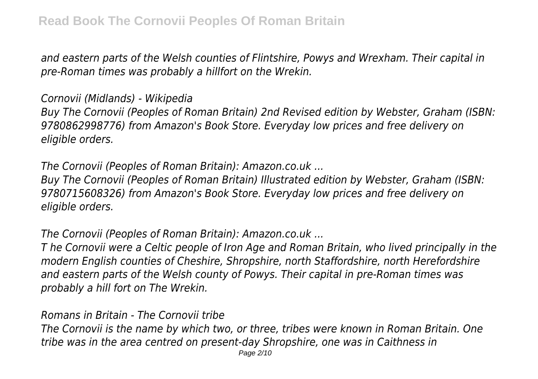*and eastern parts of the Welsh counties of Flintshire, Powys and Wrexham. Their capital in pre-Roman times was probably a hillfort on the Wrekin.*

### *Cornovii (Midlands) - Wikipedia*

*Buy The Cornovii (Peoples of Roman Britain) 2nd Revised edition by Webster, Graham (ISBN: 9780862998776) from Amazon's Book Store. Everyday low prices and free delivery on eligible orders.*

*The Cornovii (Peoples of Roman Britain): Amazon.co.uk ...*

*Buy The Cornovii (Peoples of Roman Britain) Illustrated edition by Webster, Graham (ISBN: 9780715608326) from Amazon's Book Store. Everyday low prices and free delivery on eligible orders.*

*The Cornovii (Peoples of Roman Britain): Amazon.co.uk ...*

*T he Cornovii were a Celtic people of Iron Age and Roman Britain, who lived principally in the modern English counties of Cheshire, Shropshire, north Staffordshire, north Herefordshire and eastern parts of the Welsh county of Powys. Their capital in pre-Roman times was probably a hill fort on The Wrekin.*

*Romans in Britain - The Cornovii tribe*

*The Cornovii is the name by which two, or three, tribes were known in Roman Britain. One tribe was in the area centred on present-day Shropshire, one was in Caithness in*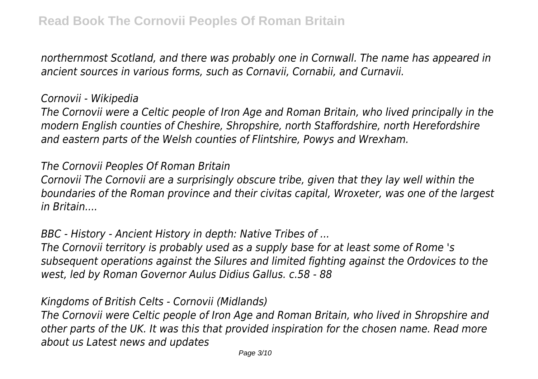*northernmost Scotland, and there was probably one in Cornwall. The name has appeared in ancient sources in various forms, such as Cornavii, Cornabii, and Curnavii.*

#### *Cornovii - Wikipedia*

*The Cornovii were a Celtic people of Iron Age and Roman Britain, who lived principally in the modern English counties of Cheshire, Shropshire, north Staffordshire, north Herefordshire and eastern parts of the Welsh counties of Flintshire, Powys and Wrexham.*

### *The Cornovii Peoples Of Roman Britain*

*Cornovii The Cornovii are a surprisingly obscure tribe, given that they lay well within the boundaries of the Roman province and their civitas capital, Wroxeter, was one of the largest in Britain....*

*BBC - History - Ancient History in depth: Native Tribes of ...*

*The Cornovii territory is probably used as a supply base for at least some of Rome 's subsequent operations against the Silures and limited fighting against the Ordovices to the west, led by Roman Governor Aulus Didius Gallus. c.58 - 88*

*Kingdoms of British Celts - Cornovii (Midlands)*

*The Cornovii were Celtic people of Iron Age and Roman Britain, who lived in Shropshire and other parts of the UK. It was this that provided inspiration for the chosen name. Read more about us Latest news and updates*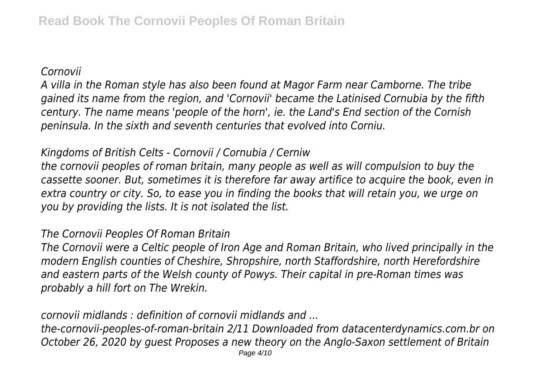#### *Cornovii*

*A villa in the Roman style has also been found at Magor Farm near Camborne. The tribe gained its name from the region, and 'Cornovii' became the Latinised Cornubia by the fifth century. The name means 'people of the horn', ie. the Land's End section of the Cornish peninsula. In the sixth and seventh centuries that evolved into Corniu.*

# *Kingdoms of British Celts - Cornovii / Cornubia / Cerniw*

*the cornovii peoples of roman britain, many people as well as will compulsion to buy the cassette sooner. But, sometimes it is therefore far away artifice to acquire the book, even in extra country or city. So, to ease you in finding the books that will retain you, we urge on you by providing the lists. It is not isolated the list.*

### *The Cornovii Peoples Of Roman Britain*

*The Cornovii were a Celtic people of Iron Age and Roman Britain, who lived principally in the modern English counties of Cheshire, Shropshire, north Staffordshire, north Herefordshire and eastern parts of the Welsh county of Powys. Their capital in pre-Roman times was probably a hill fort on The Wrekin.*

*cornovii midlands : definition of cornovii midlands and ...*

*the-cornovii-peoples-of-roman-britain 2/11 Downloaded from datacenterdynamics.com.br on October 26, 2020 by guest Proposes a new theory on the Anglo-Saxon settlement of Britain*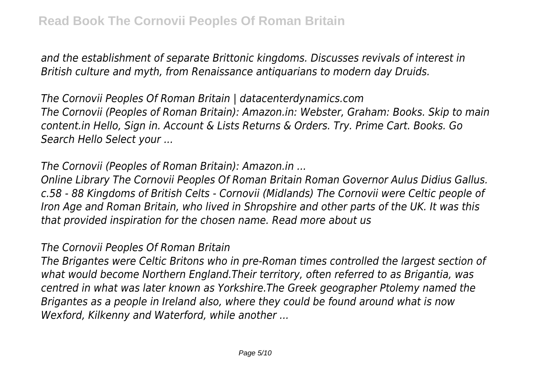*and the establishment of separate Brittonic kingdoms. Discusses revivals of interest in British culture and myth, from Renaissance antiquarians to modern day Druids.*

*The Cornovii Peoples Of Roman Britain | datacenterdynamics.com The Cornovii (Peoples of Roman Britain): Amazon.in: Webster, Graham: Books. Skip to main content.in Hello, Sign in. Account & Lists Returns & Orders. Try. Prime Cart. Books. Go Search Hello Select your ...*

*The Cornovii (Peoples of Roman Britain): Amazon.in ...*

*Online Library The Cornovii Peoples Of Roman Britain Roman Governor Aulus Didius Gallus. c.58 - 88 Kingdoms of British Celts - Cornovii (Midlands) The Cornovii were Celtic people of Iron Age and Roman Britain, who lived in Shropshire and other parts of the UK. It was this that provided inspiration for the chosen name. Read more about us*

## *The Cornovii Peoples Of Roman Britain*

*The Brigantes were Celtic Britons who in pre-Roman times controlled the largest section of what would become Northern England.Their territory, often referred to as Brigantia, was centred in what was later known as Yorkshire.The Greek geographer Ptolemy named the Brigantes as a people in Ireland also, where they could be found around what is now Wexford, Kilkenny and Waterford, while another ...*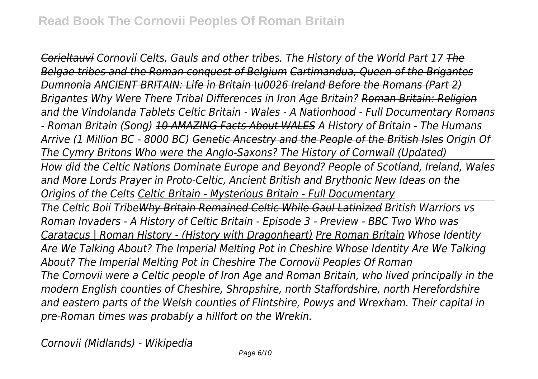*Corieltauvi Cornovii Celts, Gauls and other tribes. The History of the World Part 17 The Belgae tribes and the Roman conquest of Belgium Cartimandua, Queen of the Brigantes Dumnonia ANCIENT BRITAIN: Life in Britain \u0026 Ireland Before the Romans (Part 2) Brigantes Why Were There Tribal Differences in Iron Age Britain? Roman Britain: Religion and the Vindolanda Tablets Celtic Britain - Wales - A Nationhood - Full Documentary Romans - Roman Britain (Song) 10 AMAZING Facts About WALES A History of Britain - The Humans Arrive (1 Million BC - 8000 BC) Genetic Ancestry and the People of the British Isles Origin Of The Cymry Britons Who were the Anglo-Saxons? The History of Cornwall (Updated) How did the Celtic Nations Dominate Europe and Beyond? People of Scotland, Ireland, Wales and More Lords Prayer in Proto-Celtic, Ancient British and Brythonic New Ideas on the Origins of the Celts Celtic Britain - Mysterious Britain - Full Documentary The Celtic Boii TribeWhy Britain Remained Celtic While Gaul Latinized British Warriors vs Roman Invaders - A History of Celtic Britain - Episode 3 - Preview - BBC Two Who was Caratacus | Roman History - (History with Dragonheart) Pre Roman Britain Whose Identity Are We Talking About? The Imperial Melting Pot in Cheshire Whose Identity Are We Talking About? The Imperial Melting Pot in Cheshire The Cornovii Peoples Of Roman The Cornovii were a Celtic people of Iron Age and Roman Britain, who lived principally in the modern English counties of Cheshire, Shropshire, north Staffordshire, north Herefordshire and eastern parts of the Welsh counties of Flintshire, Powys and Wrexham. Their capital in pre-Roman times was probably a hillfort on the Wrekin.*

*Cornovii (Midlands) - Wikipedia*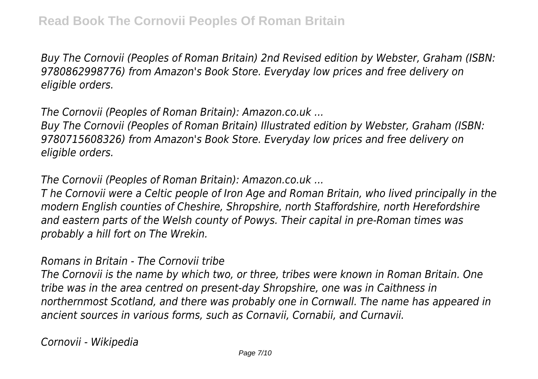*Buy The Cornovii (Peoples of Roman Britain) 2nd Revised edition by Webster, Graham (ISBN: 9780862998776) from Amazon's Book Store. Everyday low prices and free delivery on eligible orders.*

*The Cornovii (Peoples of Roman Britain): Amazon.co.uk ...*

*Buy The Cornovii (Peoples of Roman Britain) Illustrated edition by Webster, Graham (ISBN: 9780715608326) from Amazon's Book Store. Everyday low prices and free delivery on eligible orders.*

*The Cornovii (Peoples of Roman Britain): Amazon.co.uk ...*

*T he Cornovii were a Celtic people of Iron Age and Roman Britain, who lived principally in the modern English counties of Cheshire, Shropshire, north Staffordshire, north Herefordshire and eastern parts of the Welsh county of Powys. Their capital in pre-Roman times was probably a hill fort on The Wrekin.*

### *Romans in Britain - The Cornovii tribe*

*The Cornovii is the name by which two, or three, tribes were known in Roman Britain. One tribe was in the area centred on present-day Shropshire, one was in Caithness in northernmost Scotland, and there was probably one in Cornwall. The name has appeared in ancient sources in various forms, such as Cornavii, Cornabii, and Curnavii.*

*Cornovii - Wikipedia*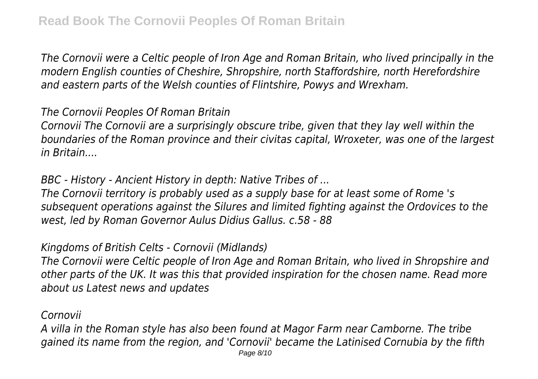*The Cornovii were a Celtic people of Iron Age and Roman Britain, who lived principally in the modern English counties of Cheshire, Shropshire, north Staffordshire, north Herefordshire and eastern parts of the Welsh counties of Flintshire, Powys and Wrexham.*

*The Cornovii Peoples Of Roman Britain*

*Cornovii The Cornovii are a surprisingly obscure tribe, given that they lay well within the boundaries of the Roman province and their civitas capital, Wroxeter, was one of the largest in Britain....*

*BBC - History - Ancient History in depth: Native Tribes of ...*

*The Cornovii territory is probably used as a supply base for at least some of Rome 's subsequent operations against the Silures and limited fighting against the Ordovices to the west, led by Roman Governor Aulus Didius Gallus. c.58 - 88*

*Kingdoms of British Celts - Cornovii (Midlands)*

*The Cornovii were Celtic people of Iron Age and Roman Britain, who lived in Shropshire and other parts of the UK. It was this that provided inspiration for the chosen name. Read more about us Latest news and updates*

*Cornovii*

*A villa in the Roman style has also been found at Magor Farm near Camborne. The tribe gained its name from the region, and 'Cornovii' became the Latinised Cornubia by the fifth* Page 8/10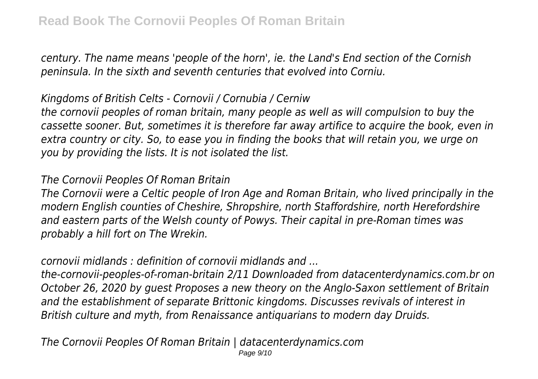*century. The name means 'people of the horn', ie. the Land's End section of the Cornish peninsula. In the sixth and seventh centuries that evolved into Corniu.*

## *Kingdoms of British Celts - Cornovii / Cornubia / Cerniw*

*the cornovii peoples of roman britain, many people as well as will compulsion to buy the cassette sooner. But, sometimes it is therefore far away artifice to acquire the book, even in extra country or city. So, to ease you in finding the books that will retain you, we urge on you by providing the lists. It is not isolated the list.*

### *The Cornovii Peoples Of Roman Britain*

*The Cornovii were a Celtic people of Iron Age and Roman Britain, who lived principally in the modern English counties of Cheshire, Shropshire, north Staffordshire, north Herefordshire and eastern parts of the Welsh county of Powys. Their capital in pre-Roman times was probably a hill fort on The Wrekin.*

# *cornovii midlands : definition of cornovii midlands and ...*

*the-cornovii-peoples-of-roman-britain 2/11 Downloaded from datacenterdynamics.com.br on October 26, 2020 by guest Proposes a new theory on the Anglo-Saxon settlement of Britain and the establishment of separate Brittonic kingdoms. Discusses revivals of interest in British culture and myth, from Renaissance antiquarians to modern day Druids.*

*The Cornovii Peoples Of Roman Britain | datacenterdynamics.com* Page 9/10